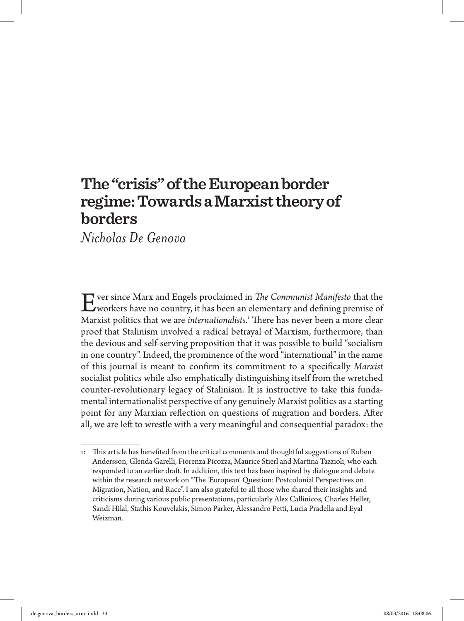# **The "crisis" of the European border regime: Towards a Marxist theory of borders**

*Nicholas De Genova*

Ever since Marx and Engels proclaimed in *The Communist Manifesto* that the workers have no country, it has been an elementary and defining premise of Marxist politics that we are *internationalists*. 1 There has never been a more clear proof that Stalinism involved a radical betrayal of Marxism, furthermore, than the devious and self-serving proposition that it was possible to build "socialism in one country". Indeed, the prominence of the word "international" in the name of this journal is meant to confirm its commitment to a specifically *Marxist* socialist politics while also emphatically distinguishing itself from the wretched counter-revolutionary legacy of Stalinism. It is instructive to take this fundamental internationalist perspective of any genuinely Marxist politics as a starting point for any Marxian reflection on questions of migration and borders. After all, we are left to wrestle with a very meaningful and consequential paradox: the

<sup>1:</sup> This article has benefited from the critical comments and thoughtful suggestions of Ruben Andersson, Glenda Garelli, Fiorenza Picozza, Maurice Stierl and Martina Tazzioli, who each responded to an earlier draft. In addition, this text has been inspired by dialogue and debate within the research network on "The 'European' Question: Postcolonial Perspectives on Migration, Nation, and Race". I am also grateful to all those who shared their insights and criticisms during various public presentations, particularly Alex Callinicos, Charles Heller, Sandi Hilal, Stathis Kouvelakis, Simon Parker, Alessandro Petti, Lucia Pradella and Eyal Weizman.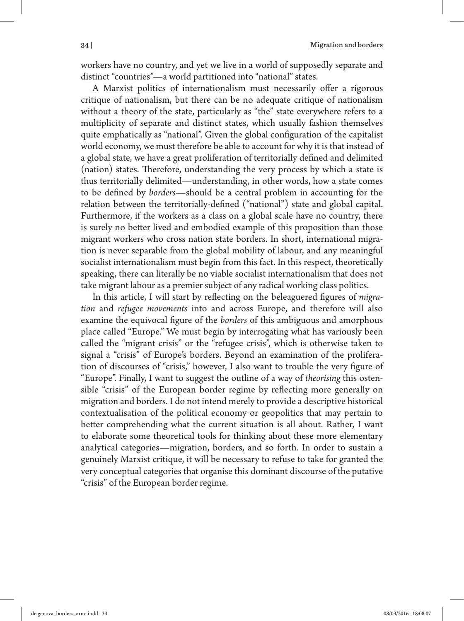workers have no country, and yet we live in a world of supposedly separate and distinct "countries"—a world partitioned into "national" states.

A Marxist politics of internationalism must necessarily offer a rigorous critique of nationalism, but there can be no adequate critique of nationalism without a theory of the state, particularly as "the" state everywhere refers to a multiplicity of separate and distinct states, which usually fashion themselves quite emphatically as "national". Given the global configuration of the capitalist world economy, we must therefore be able to account for why it is that instead of a global state, we have a great proliferation of territorially defined and delimited (nation) states. Therefore, understanding the very process by which a state is thus territorially delimited—understanding, in other words, how a state comes to be defined by *borders*—should be a central problem in accounting for the relation between the territorially-defined ("national") state and global capital. Furthermore, if the workers as a class on a global scale have no country, there is surely no better lived and embodied example of this proposition than those migrant workers who cross nation state borders. In short, international migration is never separable from the global mobility of labour, and any meaningful socialist internationalism must begin from this fact. In this respect, theoretically speaking, there can literally be no viable socialist internationalism that does not take migrant labour as a premier subject of any radical working class politics.

In this article, I will start by reflecting on the beleaguered figures of *migration* and *refugee movements* into and across Europe, and therefore will also examine the equivocal figure of the *borders* of this ambiguous and amorphous place called "Europe." We must begin by interrogating what has variously been called the "migrant crisis" or the "refugee crisis", which is otherwise taken to signal a "crisis" of Europe's borders. Beyond an examination of the proliferation of discourses of "crisis," however, I also want to trouble the very figure of "Europe". Finally, I want to suggest the outline of a way of *theorising* this ostensible "crisis" of the European border regime by reflecting more generally on migration and borders. I do not intend merely to provide a descriptive historical contextualisation of the political economy or geopolitics that may pertain to better comprehending what the current situation is all about. Rather, I want to elaborate some theoretical tools for thinking about these more elementary analytical categories—migration, borders, and so forth. In order to sustain a genuinely Marxist critique, it will be necessary to refuse to take for granted the very conceptual categories that organise this dominant discourse of the putative "crisis" of the European border regime.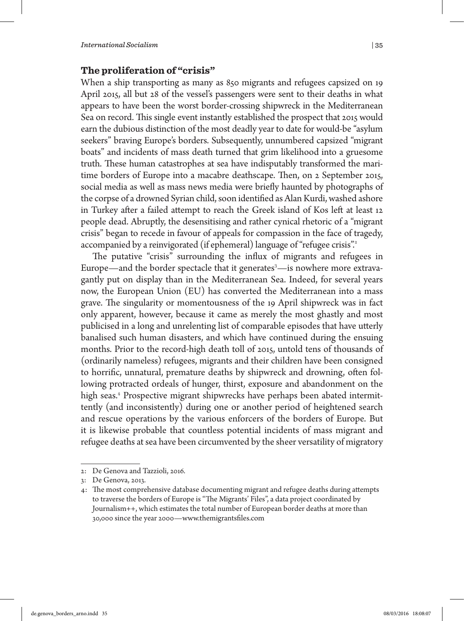## **The proliferation of "crisis"**

When a ship transporting as many as 850 migrants and refugees capsized on 19 April 2015, all but 28 of the vessel's passengers were sent to their deaths in what appears to have been the worst border-crossing shipwreck in the Mediterranean Sea on record. This single event instantly established the prospect that 2015 would earn the dubious distinction of the most deadly year to date for would-be "asylum seekers" braving Europe's borders. Subsequently, unnumbered capsized "migrant boats" and incidents of mass death turned that grim likelihood into a gruesome truth. These human catastrophes at sea have indisputably transformed the maritime borders of Europe into a macabre deathscape. Then, on 2 September 2015, social media as well as mass news media were briefly haunted by photographs of the corpse of a drowned Syrian child, soon identified as Alan Kurdi, washed ashore in Turkey after a failed attempt to reach the Greek island of Kos left at least 12 people dead. Abruptly, the desensitising and rather cynical rhetoric of a "migrant crisis" began to recede in favour of appeals for compassion in the face of tragedy, accompanied by a reinvigorated (if ephemeral) language of "refugee crisis".<sup>2</sup>

The putative "crisis" surrounding the influx of migrants and refugees in Europe—and the border spectacle that it generates<sup>3</sup>—is nowhere more extravagantly put on display than in the Mediterranean Sea. Indeed, for several years now, the European Union (EU) has converted the Mediterranean into a mass grave. The singularity or momentousness of the 19 April shipwreck was in fact only apparent, however, because it came as merely the most ghastly and most publicised in a long and unrelenting list of comparable episodes that have utterly banalised such human disasters, and which have continued during the ensuing months. Prior to the record-high death toll of 2015, untold tens of thousands of (ordinarily nameless) refugees, migrants and their children have been consigned to horrific, unnatural, premature deaths by shipwreck and drowning, often following protracted ordeals of hunger, thirst, exposure and abandonment on the high seas.<sup>4</sup> Prospective migrant shipwrecks have perhaps been abated intermittently (and inconsistently) during one or another period of heightened search and rescue operations by the various enforcers of the borders of Europe. But it is likewise probable that countless potential incidents of mass migrant and refugee deaths at sea have been circumvented by the sheer versatility of migratory

<sup>2:</sup> De Genova and Tazzioli, 2016.

<sup>3:</sup> De Genova, 2013.

<sup>4:</sup> The most comprehensive database documenting migrant and refugee deaths during attempts to traverse the borders of Europe is "The Migrants' Files", a data project coordinated by Journalism++, which estimates the total number of European border deaths at more than 30,000 since the year 2000—www.themigrantsfiles.com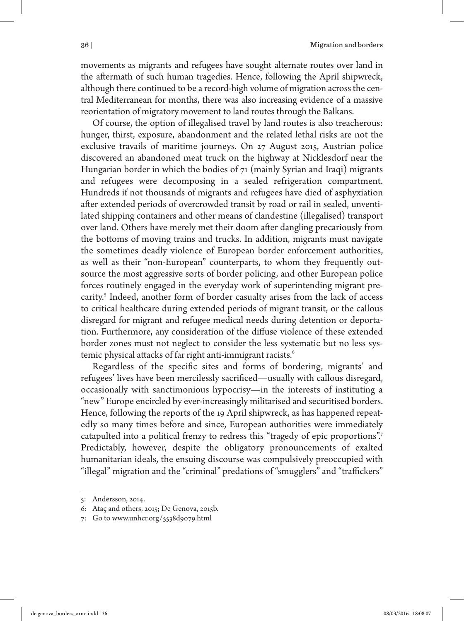movements as migrants and refugees have sought alternate routes over land in the aftermath of such human tragedies. Hence, following the April shipwreck, although there continued to be a record-high volume of migration across the central Mediterranean for months, there was also increasing evidence of a massive reorientation of migratory movement to land routes through the Balkans.

Of course, the option of illegalised travel by land routes is also treacherous: hunger, thirst, exposure, abandonment and the related lethal risks are not the exclusive travails of maritime journeys. On 27 August 2015, Austrian police discovered an abandoned meat truck on the highway at Nicklesdorf near the Hungarian border in which the bodies of 71 (mainly Syrian and Iraqi) migrants and refugees were decomposing in a sealed refrigeration compartment. Hundreds if not thousands of migrants and refugees have died of asphyxiation after extended periods of overcrowded transit by road or rail in sealed, unventilated shipping containers and other means of clandestine (illegalised) transport over land. Others have merely met their doom after dangling precariously from the bottoms of moving trains and trucks. In addition, migrants must navigate the sometimes deadly violence of European border enforcement authorities, as well as their "non-European" counterparts, to whom they frequently outsource the most aggressive sorts of border policing, and other European police forces routinely engaged in the everyday work of superintending migrant precarity.<sup>5</sup> Indeed, another form of border casualty arises from the lack of access to critical healthcare during extended periods of migrant transit, or the callous disregard for migrant and refugee medical needs during detention or deportation. Furthermore, any consideration of the diffuse violence of these extended border zones must not neglect to consider the less systematic but no less systemic physical attacks of far right anti-immigrant racists.<sup>6</sup>

Regardless of the specific sites and forms of bordering, migrants' and refugees' lives have been mercilessly sacrificed—usually with callous disregard, occasionally with sanctimonious hypocrisy—in the interests of instituting a "new" Europe encircled by ever-increasingly militarised and securitised borders. Hence, following the reports of the 19 April shipwreck, as has happened repeatedly so many times before and since, European authorities were immediately catapulted into a political frenzy to redress this "tragedy of epic proportions".<sup>7</sup> Predictably, however, despite the obligatory pronouncements of exalted humanitarian ideals, the ensuing discourse was compulsively preoccupied with "illegal" migration and the "criminal" predations of "smugglers" and "traffickers"

<sup>5:</sup> Andersson, 2014.

<sup>6:</sup> Ataç and others, 2015; De Genova, 2015b.

<sup>7:</sup> Go to www.unhcr.org/5538d9079.html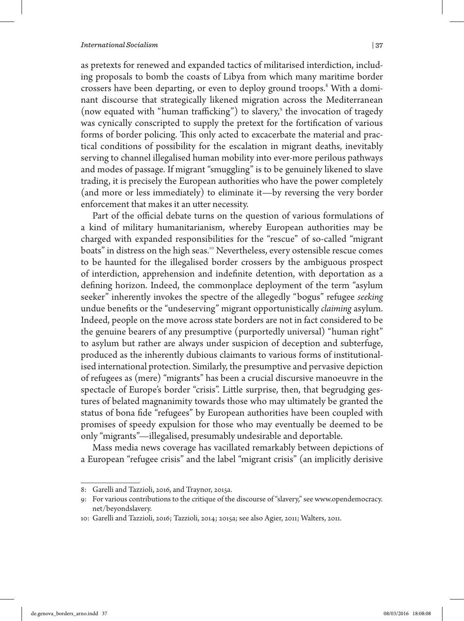as pretexts for renewed and expanded tactics of militarised interdiction, including proposals to bomb the coasts of Libya from which many maritime border crossers have been departing, or even to deploy ground troops.<sup>8</sup> With a dominant discourse that strategically likened migration across the Mediterranean (now equated with "human trafficking") to slavery,<sup>9</sup> the invocation of tragedy was cynically conscripted to supply the pretext for the fortification of various forms of border policing. This only acted to excacerbate the material and practical conditions of possibility for the escalation in migrant deaths, inevitably serving to channel illegalised human mobility into ever-more perilous pathways and modes of passage. If migrant "smuggling" is to be genuinely likened to slave trading, it is precisely the European authorities who have the power completely (and more or less immediately) to eliminate it—by reversing the very border enforcement that makes it an utter necessity.

Part of the official debate turns on the question of various formulations of a kind of military humanitarianism, whereby European authorities may be charged with expanded responsibilities for the "rescue" of so-called "migrant boats" in distress on the high seas.<sup>10</sup> Nevertheless, every ostensible rescue comes to be haunted for the illegalised border crossers by the ambiguous prospect of interdiction, apprehension and indefinite detention, with deportation as a defining horizon. Indeed, the commonplace deployment of the term "asylum seeker" inherently invokes the spectre of the allegedly "bogus" refugee *seeking* undue benefits or the "undeserving" migrant opportunistically *claiming* asylum. Indeed, people on the move across state borders are not in fact considered to be the genuine bearers of any presumptive (purportedly universal) "human right" to asylum but rather are always under suspicion of deception and subterfuge, produced as the inherently dubious claimants to various forms of institutionalised international protection. Similarly, the presumptive and pervasive depiction of refugees as (mere) "migrants" has been a crucial discursive manoeuvre in the spectacle of Europe's border "crisis". Little surprise, then, that begrudging gestures of belated magnanimity towards those who may ultimately be granted the status of bona fide "refugees" by European authorities have been coupled with promises of speedy expulsion for those who may eventually be deemed to be only "migrants"—illegalised, presumably undesirable and deportable.

Mass media news coverage has vacillated remarkably between depictions of a European "refugee crisis" and the label "migrant crisis" (an implicitly derisive

<sup>8:</sup> Garelli and Tazzioli, 2016, and Traynor, 2015a.

<sup>9:</sup> For various contributions to the critique of the discourse of "slavery," see www.opendemocracy. net/beyondslavery.

<sup>10:</sup> Garelli and Tazzioli, 2016; Tazzioli, 2014; 2015a; see also Agier, 2011; Walters, 2011.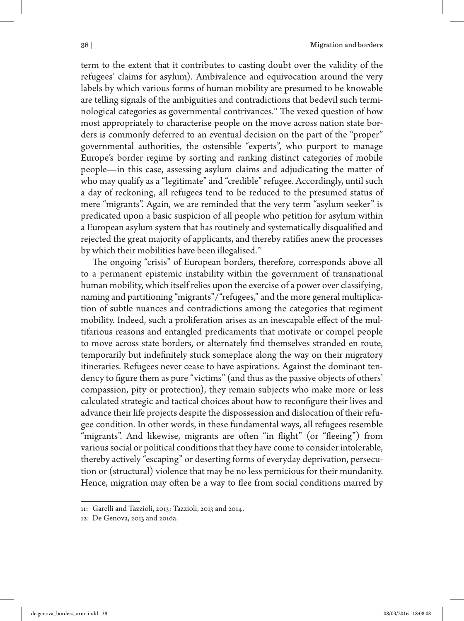term to the extent that it contributes to casting doubt over the validity of the refugees' claims for asylum). Ambivalence and equivocation around the very labels by which various forms of human mobility are presumed to be knowable are telling signals of the ambiguities and contradictions that bedevil such terminological categories as governmental contrivances.<sup>11</sup> The vexed question of how most appropriately to characterise people on the move across nation state borders is commonly deferred to an eventual decision on the part of the "proper" governmental authorities, the ostensible "experts", who purport to manage Europe's border regime by sorting and ranking distinct categories of mobile people—in this case, assessing asylum claims and adjudicating the matter of who may qualify as a "legitimate" and "credible" refugee. Accordingly, until such a day of reckoning, all refugees tend to be reduced to the presumed status of mere "migrants". Again, we are reminded that the very term "asylum seeker" is predicated upon a basic suspicion of all people who petition for asylum within a European asylum system that has routinely and systematically disqualified and rejected the great majority of applicants, and thereby ratifies anew the processes by which their mobilities have been illegalised.<sup>12</sup>

The ongoing "crisis" of European borders, therefore, corresponds above all to a permanent epistemic instability within the government of transnational human mobility, which itself relies upon the exercise of a power over classifying, naming and partitioning "migrants"/"refugees," and the more general multiplication of subtle nuances and contradictions among the categories that regiment mobility. Indeed, such a proliferation arises as an inescapable effect of the multifarious reasons and entangled predicaments that motivate or compel people to move across state borders, or alternately find themselves stranded en route, temporarily but indefinitely stuck someplace along the way on their migratory itineraries. Refugees never cease to have aspirations. Against the dominant tendency to figure them as pure "victims" (and thus as the passive objects of others' compassion, pity or protection), they remain subjects who make more or less calculated strategic and tactical choices about how to reconfigure their lives and advance their life projects despite the dispossession and dislocation of their refugee condition. In other words, in these fundamental ways, all refugees resemble "migrants". And likewise, migrants are often "in flight" (or "fleeing") from various social or political conditions that they have come to consider intolerable, thereby actively "escaping" or deserting forms of everyday deprivation, persecution or (structural) violence that may be no less pernicious for their mundanity. Hence, migration may often be a way to flee from social conditions marred by

<sup>11:</sup> Garelli and Tazzioli, 2013; Tazzioli, 2013 and 2014.

<sup>12:</sup> De Genova, 2013 and 2016a.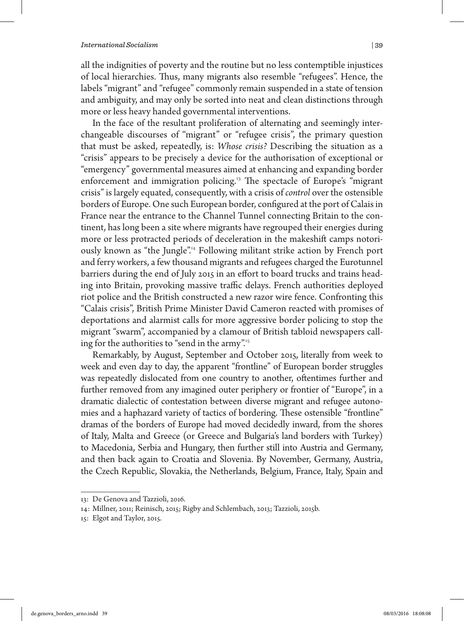all the indignities of poverty and the routine but no less contemptible injustices of local hierarchies. Thus, many migrants also resemble "refugees". Hence, the labels "migrant" and "refugee" commonly remain suspended in a state of tension and ambiguity, and may only be sorted into neat and clean distinctions through more or less heavy handed governmental interventions.

In the face of the resultant proliferation of alternating and seemingly interchangeable discourses of "migrant" or "refugee crisis", the primary question that must be asked, repeatedly, is: *Whose crisis?* Describing the situation as a "crisis" appears to be precisely a device for the authorisation of exceptional or "emergency" governmental measures aimed at enhancing and expanding border enforcement and immigration policing.<sup>13</sup> The spectacle of Europe's "migrant crisis" is largely equated, consequently, with a crisis of *control* over the ostensible borders of Europe. One such European border, configured at the port of Calais in France near the entrance to the Channel Tunnel connecting Britain to the continent, has long been a site where migrants have regrouped their energies during more or less protracted periods of deceleration in the makeshift camps notoriously known as "the Jungle".<sup>14</sup> Following militant strike action by French port and ferry workers, a few thousand migrants and refugees charged the Eurotunnel barriers during the end of July 2015 in an effort to board trucks and trains heading into Britain, provoking massive traffic delays. French authorities deployed riot police and the British constructed a new razor wire fence. Confronting this "Calais crisis", British Prime Minister David Cameron reacted with promises of deportations and alarmist calls for more aggressive border policing to stop the migrant "swarm", accompanied by a clamour of British tabloid newspapers calling for the authorities to "send in the army".<sup>15</sup>

Remarkably, by August, September and October 2015, literally from week to week and even day to day, the apparent "frontline" of European border struggles was repeatedly dislocated from one country to another, oftentimes further and further removed from any imagined outer periphery or frontier of "Europe", in a dramatic dialectic of contestation between diverse migrant and refugee autonomies and a haphazard variety of tactics of bordering. These ostensible "frontline" dramas of the borders of Europe had moved decidedly inward, from the shores of Italy, Malta and Greece (or Greece and Bulgaria's land borders with Turkey) to Macedonia, Serbia and Hungary, then further still into Austria and Germany, and then back again to Croatia and Slovenia. By November, Germany, Austria, the Czech Republic, Slovakia, the Netherlands, Belgium, France, Italy, Spain and

<sup>13:</sup> De Genova and Tazzioli, 2016.

<sup>14:</sup> Millner, 2011; Reinisch, 2015; Rigby and Schlembach, 2013; Tazzioli, 2015b.

<sup>15:</sup> Elgot and Taylor, 2015.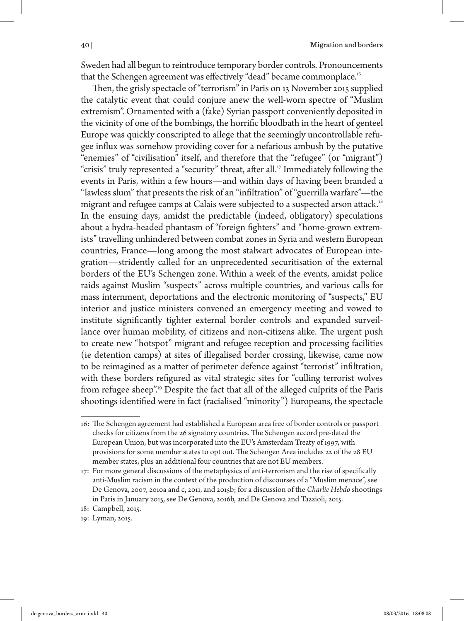Sweden had all begun to reintroduce temporary border controls. Pronouncements that the Schengen agreement was effectively "dead" became commonplace.<sup>16</sup>

Then, the grisly spectacle of "terrorism" in Paris on 13 November 2015 supplied the catalytic event that could conjure anew the well-worn spectre of "Muslim extremism". Ornamented with a (fake) Syrian passport conveniently deposited in the vicinity of one of the bombings, the horrific bloodbath in the heart of genteel Europe was quickly conscripted to allege that the seemingly uncontrollable refugee influx was somehow providing cover for a nefarious ambush by the putative "enemies" of "civilisation" itself, and therefore that the "refugee" (or "migrant") "crisis" truly represented a "security" threat, after all.<sup>17</sup> Immediately following the events in Paris, within a few hours—and within days of having been branded a "lawless slum" that presents the risk of an "infiltration" of "guerrilla warfare"—the migrant and refugee camps at Calais were subjected to a suspected arson attack.<sup>18</sup> In the ensuing days, amidst the predictable (indeed, obligatory) speculations about a hydra-headed phantasm of "foreign fighters" and "home-grown extremists" travelling unhindered between combat zones in Syria and western European countries, France—long among the most stalwart advocates of European integration—stridently called for an unprecedented securitisation of the external borders of the EU's Schengen zone. Within a week of the events, amidst police raids against Muslim "suspects" across multiple countries, and various calls for mass internment, deportations and the electronic monitoring of "suspects," EU interior and justice ministers convened an emergency meeting and vowed to institute significantly tighter external border controls and expanded surveillance over human mobility, of citizens and non-citizens alike. The urgent push to create new "hotspot" migrant and refugee reception and processing facilities (ie detention camps) at sites of illegalised border crossing, likewise, came now to be reimagined as a matter of perimeter defence against "terrorist" infiltration, with these borders refigured as vital strategic sites for "culling terrorist wolves from refugee sheep".<sup>19</sup> Despite the fact that all of the alleged culprits of the Paris shootings identified were in fact (racialised "minority") Europeans, the spectacle

<sup>16:</sup> The Schengen agreement had established a European area free of border controls or passport checks for citizens from the 26 signatory countries. The Schengen accord pre-dated the European Union, but was incorporated into the EU's Amsterdam Treaty of 1997, with provisions for some member states to opt out. The Schengen Area includes 22 of the 28 EU member states, plus an additional four countries that are not EU members.

<sup>17:</sup> For more general discussions of the metaphysics of anti-terrorism and the rise of specifically anti-Muslim racism in the context of the production of discourses of a "Muslim menace", see De Genova, 2007, 2010a and c, 2011, and 2015b; for a discussion of the *Charlie Hebdo* shootings in Paris in January 2015, see De Genova, 2016b, and De Genova and Tazzioli, 2015.

<sup>18:</sup> Campbell, 2015.

<sup>19:</sup> Lyman, 2015.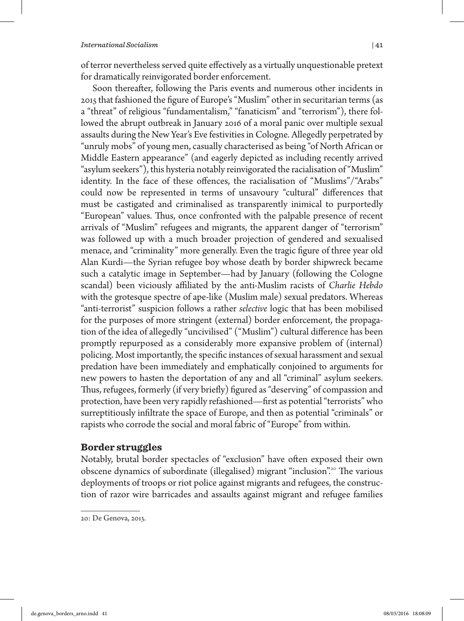of terror nevertheless served quite effectively as a virtually unquestionable pretext for dramatically reinvigorated border enforcement.

Soon thereafter, following the Paris events and numerous other incidents in 2015 that fashioned the figure of Europe's "Muslim" other in securitarian terms (as a "threat" of religious "fundamentalism," "fanaticism" and "terrorism"), there followed the abrupt outbreak in January 2016 of a moral panic over multiple sexual assaults during the New Year's Eve festivities in Cologne. Allegedly perpetrated by "unruly mobs" of young men, casually characterised as being "of North African or Middle Eastern appearance" (and eagerly depicted as including recently arrived "asylum seekers"), this hysteria notably reinvigorated the racialisation of "Muslim" identity. In the face of these offences, the racialisation of "Muslims"/"Arabs" could now be represented in terms of unsavoury "cultural" differences that must be castigated and criminalised as transparently inimical to purportedly "European" values. Thus, once confronted with the palpable presence of recent arrivals of "Muslim" refugees and migrants, the apparent danger of "terrorism" was followed up with a much broader projection of gendered and sexualised menace, and "criminality" more generally. Even the tragic figure of three year old Alan Kurdi—the Syrian refugee boy whose death by border shipwreck became such a catalytic image in September—had by January (following the Cologne scandal) been viciously affiliated by the anti-Muslim racists of *Charlie Hebdo*  with the grotesque spectre of ape-like (Muslim male) sexual predators. Whereas "anti-terrorist" suspicion follows a rather *selective* logic that has been mobilised for the purposes of more stringent (external) border enforcement, the propagation of the idea of allegedly "uncivilised" ("Muslim") cultural difference has been promptly repurposed as a considerably more expansive problem of (internal) policing. Most importantly, the specific instances of sexual harassment and sexual predation have been immediately and emphatically conjoined to arguments for new powers to hasten the deportation of any and all "criminal" asylum seekers. Thus, refugees, formerly (if very briefly) figured as "deserving" of compassion and protection, have been very rapidly refashioned—first as potential "terrorists" who surreptitiously infiltrate the space of Europe, and then as potential "criminals" or rapists who corrode the social and moral fabric of "Europe" from within.

## **Border struggles**

Notably, brutal border spectacles of "exclusion" have often exposed their own obscene dynamics of subordinate (illegalised) migrant "inclusion".<sup>20</sup> The various deployments of troops or riot police against migrants and refugees, the construction of razor wire barricades and assaults against migrant and refugee families

<sup>20:</sup> De Genova, 2013.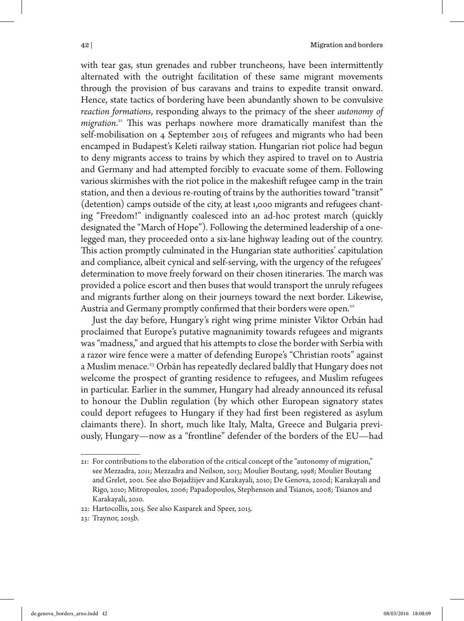with tear gas, stun grenades and rubber truncheons, have been intermittently alternated with the outright facilitation of these same migrant movements through the provision of bus caravans and trains to expedite transit onward. Hence, state tactics of bordering have been abundantly shown to be convulsive *reaction formations*, responding always to the primacy of the sheer *autonomy of migration*. <sup>21</sup> This was perhaps nowhere more dramatically manifest than the self-mobilisation on 4 September 2015 of refugees and migrants who had been encamped in Budapest's Keleti railway station. Hungarian riot police had begun to deny migrants access to trains by which they aspired to travel on to Austria and Germany and had attempted forcibly to evacuate some of them. Following various skirmishes with the riot police in the makeshift refugee camp in the train station, and then a devious re-routing of trains by the authorities toward "transit" (detention) camps outside of the city, at least 1,000 migrants and refugees chanting "Freedom!" indignantly coalesced into an ad-hoc protest march (quickly designated the "March of Hope"). Following the determined leadership of a onelegged man, they proceeded onto a six-lane highway leading out of the country. This action promptly culminated in the Hungarian state authorities' capitulation and compliance, albeit cynical and self-serving, with the urgency of the refugees' determination to move freely forward on their chosen itineraries. The march was provided a police escort and then buses that would transport the unruly refugees and migrants further along on their journeys toward the next border. Likewise, Austria and Germany promptly confirmed that their borders were open.<sup>22</sup>

Just the day before, Hungary's right wing prime minister Viktor Orbán had proclaimed that Europe's putative magnanimity towards refugees and migrants was "madness," and argued that his attempts to close the border with Serbia with a razor wire fence were a matter of defending Europe's "Christian roots" against a Muslim menace.<sup>23</sup> Orbán has repeatedly declared baldly that Hungary does not welcome the prospect of granting residence to refugees, and Muslim refugees in particular. Earlier in the summer, Hungary had already announced its refusal to honour the Dublin regulation (by which other European signatory states could deport refugees to Hungary if they had first been registered as asylum claimants there). In short, much like Italy, Malta, Greece and Bulgaria previously, Hungary—now as a "frontline" defender of the borders of the EU—had

23: Traynor, 2015b.

<sup>21:</sup> For contributions to the elaboration of the critical concept of the "autonomy of migration," see Mezzadra, 2011; Mezzadra and Neilson, 2013; Moulier Boutang, 1998; Moulier Boutang and Grelet, 2001. See also Bojadžijev and Karakayali, 2010; De Genova, 2010d; Karakayali and Rigo, 2010; Mitropoulos, 2006; Papadopoulos, Stephenson and Tsianos, 2008; Tsianos and Karakayali, 2010.

<sup>22:</sup> Hartocollis, 2015. See also Kasparek and Speer, 2015.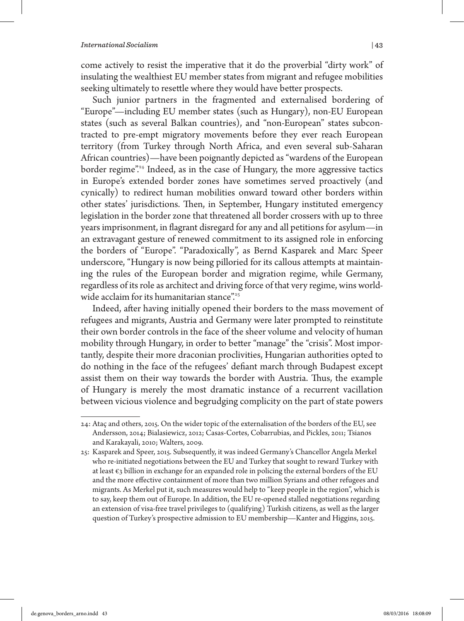#### *International Socialism*  $|43\rangle$

come actively to resist the imperative that it do the proverbial "dirty work" of insulating the wealthiest EU member states from migrant and refugee mobilities seeking ultimately to resettle where they would have better prospects.

Such junior partners in the fragmented and externalised bordering of "Europe"—including EU member states (such as Hungary), non-EU European states (such as several Balkan countries), and "non-European" states subcontracted to pre-empt migratory movements before they ever reach European territory (from Turkey through North Africa, and even several sub-Saharan African countries)—have been poignantly depicted as "wardens of the European border regime".<sup>24</sup> Indeed, as in the case of Hungary, the more aggressive tactics in Europe's extended border zones have sometimes served proactively (and cynically) to redirect human mobilities onward toward other borders within other states' jurisdictions. Then, in September, Hungary instituted emergency legislation in the border zone that threatened all border crossers with up to three years imprisonment, in flagrant disregard for any and all petitions for asylum—in an extravagant gesture of renewed commitment to its assigned role in enforcing the borders of "Europe". "Paradoxically", as Bernd Kasparek and Marc Speer underscore, "Hungary is now being pilloried for its callous attempts at maintaining the rules of the European border and migration regime, while Germany, regardless of its role as architect and driving force of that very regime, wins worldwide acclaim for its humanitarian stance".<sup>25</sup>

Indeed, after having initially opened their borders to the mass movement of refugees and migrants, Austria and Germany were later prompted to reinstitute their own border controls in the face of the sheer volume and velocity of human mobility through Hungary, in order to better "manage" the "crisis". Most importantly, despite their more draconian proclivities, Hungarian authorities opted to do nothing in the face of the refugees' defiant march through Budapest except assist them on their way towards the border with Austria. Thus, the example of Hungary is merely the most dramatic instance of a recurrent vacillation between vicious violence and begrudging complicity on the part of state powers

<sup>24:</sup> Ataç and others, 2015. On the wider topic of the externalisation of the borders of the EU, see Andersson, 2014; Bialasiewicz, 2012; Casas-Cortes, Cobarrubias, and Pickles, 2011; Tsianos and Karakayali, 2010; Walters, 2009.

<sup>25:</sup> Kasparek and Speer, 2015. Subsequently, it was indeed Germany's Chancellor Angela Merkel who re-initiated negotiations between the EU and Turkey that sought to reward Turkey with at least  $\varepsilon_3$  billion in exchange for an expanded role in policing the external borders of the EU and the more effective containment of more than two million Syrians and other refugees and migrants. As Merkel put it, such measures would help to "keep people in the region", which is to say, keep them out of Europe. In addition, the EU re-opened stalled negotiations regarding an extension of visa-free travel privileges to (qualifying) Turkish citizens, as well as the larger question of Turkey's prospective admission to EU membership—Kanter and Higgins, 2015.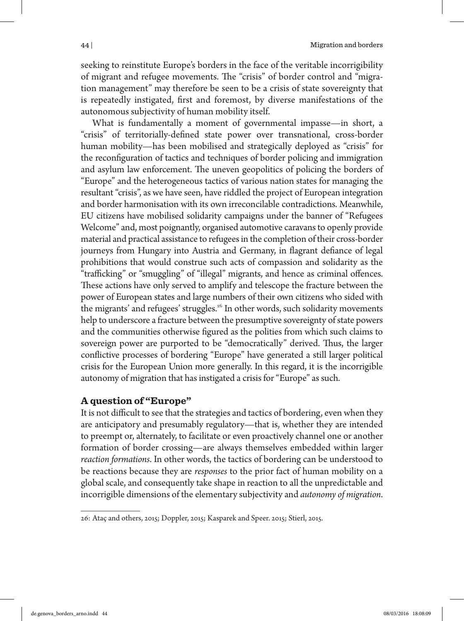seeking to reinstitute Europe's borders in the face of the veritable incorrigibility of migrant and refugee movements. The "crisis" of border control and "migration management" may therefore be seen to be a crisis of state sovereignty that is repeatedly instigated, first and foremost, by diverse manifestations of the autonomous subjectivity of human mobility itself.

What is fundamentally a moment of governmental impasse—in short, a "crisis" of territorially-defined state power over transnational, cross-border human mobility—has been mobilised and strategically deployed as "crisis" for the reconfiguration of tactics and techniques of border policing and immigration and asylum law enforcement. The uneven geopolitics of policing the borders of "Europe" and the heterogeneous tactics of various nation states for managing the resultant "crisis", as we have seen, have riddled the project of European integration and border harmonisation with its own irreconcilable contradictions. Meanwhile, EU citizens have mobilised solidarity campaigns under the banner of "Refugees Welcome" and, most poignantly, organised automotive caravans to openly provide material and practical assistance to refugees in the completion of their cross-border journeys from Hungary into Austria and Germany, in flagrant defiance of legal prohibitions that would construe such acts of compassion and solidarity as the "trafficking" or "smuggling" of "illegal" migrants, and hence as criminal offences. These actions have only served to amplify and telescope the fracture between the power of European states and large numbers of their own citizens who sided with the migrants' and refugees' struggles.<sup>26</sup> In other words, such solidarity movements help to underscore a fracture between the presumptive sovereignty of state powers and the communities otherwise figured as the polities from which such claims to sovereign power are purported to be "democratically" derived. Thus, the larger conflictive processes of bordering "Europe" have generated a still larger political crisis for the European Union more generally. In this regard, it is the incorrigible autonomy of migration that has instigated a crisis for "Europe" as such.

## **A question of "Europe"**

It is not difficult to see that the strategies and tactics of bordering, even when they are anticipatory and presumably regulatory—that is, whether they are intended to preempt or, alternately, to facilitate or even proactively channel one or another formation of border crossing—are always themselves embedded within larger *reaction formations*. In other words, the tactics of bordering can be understood to be reactions because they are *responses* to the prior fact of human mobility on a global scale, and consequently take shape in reaction to all the unpredictable and incorrigible dimensions of the elementary subjectivity and *autonomy of migration*.

<sup>26:</sup> Ataç and others, 2015; Doppler, 2015; Kasparek and Speer. 2015; Stierl, 2015.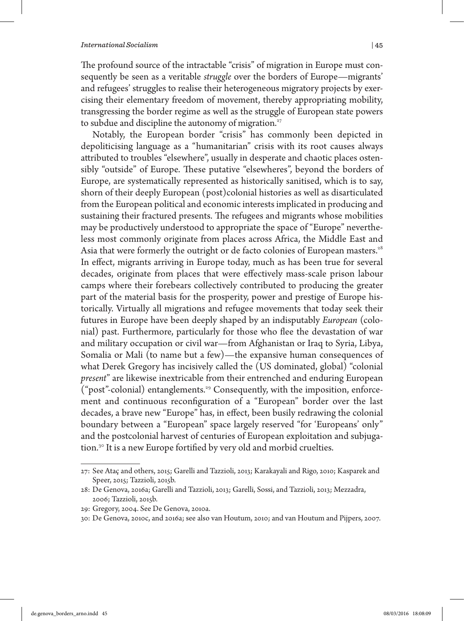The profound source of the intractable "crisis" of migration in Europe must consequently be seen as a veritable *struggle* over the borders of Europe—migrants' and refugees' struggles to realise their heterogeneous migratory projects by exercising their elementary freedom of movement, thereby appropriating mobility, transgressing the border regime as well as the struggle of European state powers to subdue and discipline the autonomy of migration.<sup>27</sup>

Notably, the European border "crisis" has commonly been depicted in depoliticising language as a "humanitarian" crisis with its root causes always attributed to troubles "elsewhere", usually in desperate and chaotic places ostensibly "outside" of Europe. These putative "elsewheres", beyond the borders of Europe, are systematically represented as historically sanitised, which is to say, shorn of their deeply European (post)colonial histories as well as disarticulated from the European political and economic interests implicated in producing and sustaining their fractured presents. The refugees and migrants whose mobilities may be productively understood to appropriate the space of "Europe" nevertheless most commonly originate from places across Africa, the Middle East and Asia that were formerly the outright or de facto colonies of European masters.<sup>28</sup> In effect, migrants arriving in Europe today, much as has been true for several decades, originate from places that were effectively mass-scale prison labour camps where their forebears collectively contributed to producing the greater part of the material basis for the prosperity, power and prestige of Europe historically. Virtually all migrations and refugee movements that today seek their futures in Europe have been deeply shaped by an indisputably *European* (colonial) past. Furthermore, particularly for those who flee the devastation of war and military occupation or civil war—from Afghanistan or Iraq to Syria, Libya, Somalia or Mali (to name but a few)—the expansive human consequences of what Derek Gregory has incisively called the (US dominated, global) "colonial *present*" are likewise inextricable from their entrenched and enduring European ("post"-colonial) entanglements.<sup>29</sup> Consequently, with the imposition, enforcement and continuous reconfiguration of a "European" border over the last decades, a brave new "Europe" has, in effect, been busily redrawing the colonial boundary between a "European" space largely reserved "for 'Europeans' only" and the postcolonial harvest of centuries of European exploitation and subjugation.<sup>30</sup> It is a new Europe fortified by very old and morbid cruelties.

<sup>27:</sup> See Ataç and others, 2015; Garelli and Tazzioli, 2013; Karakayali and Rigo, 2010; Kasparek and Speer, 2015; Tazzioli, 2015b.

<sup>28:</sup> De Genova, 2016a; Garelli and Tazzioli, 2013; Garelli, Sossi, and Tazzioli, 2013; Mezzadra, 2006; Tazzioli, 2015b.

<sup>29:</sup> Gregory, 2004. See De Genova, 2010a.

<sup>30:</sup> De Genova, 2010c, and 2016a; see also van Houtum, 2010; and van Houtum and Pijpers, 2007.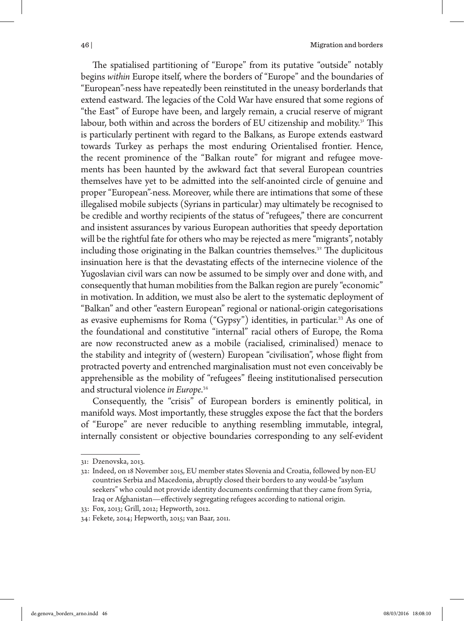The spatialised partitioning of "Europe" from its putative "outside" notably begins *within* Europe itself, where the borders of "Europe" and the boundaries of "European"-ness have repeatedly been reinstituted in the uneasy borderlands that extend eastward. The legacies of the Cold War have ensured that some regions of "the East" of Europe have been, and largely remain, a crucial reserve of migrant labour, both within and across the borders of EU citizenship and mobility.<sup>31</sup> This is particularly pertinent with regard to the Balkans, as Europe extends eastward towards Turkey as perhaps the most enduring Orientalised frontier. Hence, the recent prominence of the "Balkan route" for migrant and refugee movements has been haunted by the awkward fact that several European countries themselves have yet to be admitted into the self-anointed circle of genuine and proper "European"-ness. Moreover, while there are intimations that some of these illegalised mobile subjects (Syrians in particular) may ultimately be recognised to be credible and worthy recipients of the status of "refugees," there are concurrent and insistent assurances by various European authorities that speedy deportation will be the rightful fate for others who may be rejected as mere "migrants", notably including those originating in the Balkan countries themselves.<sup>32</sup> The duplicitous insinuation here is that the devastating effects of the internecine violence of the Yugoslavian civil wars can now be assumed to be simply over and done with, and consequently that human mobilities from the Balkan region are purely "economic" in motivation. In addition, we must also be alert to the systematic deployment of "Balkan" and other "eastern European" regional or national-origin categorisations as evasive euphemisms for Roma ("Gypsy") identities, in particular.<sup>33</sup> As one of the foundational and constitutive "internal" racial others of Europe, the Roma are now reconstructed anew as a mobile (racialised, criminalised) menace to the stability and integrity of (western) European "civilisation", whose flight from protracted poverty and entrenched marginalisation must not even conceivably be apprehensible as the mobility of "refugees" fleeing institutionalised persecution and structural violence *in Europe*. 34

Consequently, the "crisis" of European borders is eminently political, in manifold ways. Most importantly, these struggles expose the fact that the borders of "Europe" are never reducible to anything resembling immutable, integral, internally consistent or objective boundaries corresponding to any self-evident

<sup>31:</sup> Dzenovska, 2013.

<sup>32:</sup> Indeed, on 18 November 2015, EU member states Slovenia and Croatia, followed by non-EU countries Serbia and Macedonia, abruptly closed their borders to any would-be "asylum seekers" who could not provide identity documents confirming that they came from Syria, Iraq or Afghanistan—effectively segregating refugees according to national origin.

<sup>33:</sup> Fox, 2013; Grill, 2012; Hepworth, 2012.

<sup>34:</sup> Fekete, 2014; Hepworth, 2015; van Baar, 2011.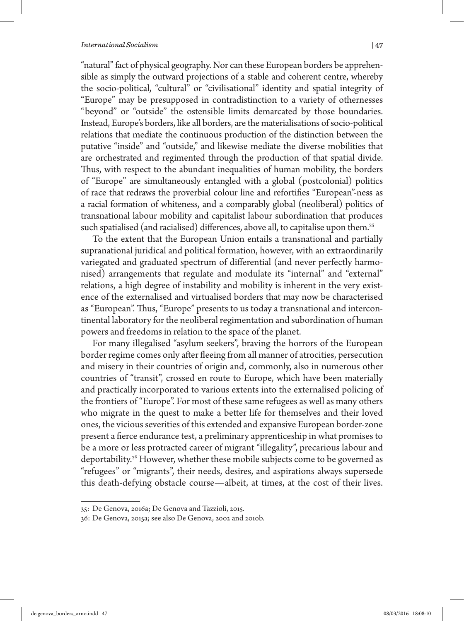#### *International Socialism*  $|47\rangle$

"natural" fact of physical geography. Nor can these European borders be apprehensible as simply the outward projections of a stable and coherent centre, whereby the socio-political, "cultural" or "civilisational" identity and spatial integrity of "Europe" may be presupposed in contradistinction to a variety of othernesses "beyond" or "outside" the ostensible limits demarcated by those boundaries. Instead, Europe's borders, like all borders, are the materialisations of socio-political relations that mediate the continuous production of the distinction between the putative "inside" and "outside," and likewise mediate the diverse mobilities that are orchestrated and regimented through the production of that spatial divide. Thus, with respect to the abundant inequalities of human mobility, the borders of "Europe" are simultaneously entangled with a global (postcolonial) politics of race that redraws the proverbial colour line and refortifies "European"-ness as a racial formation of whiteness, and a comparably global (neoliberal) politics of transnational labour mobility and capitalist labour subordination that produces such spatialised (and racialised) differences, above all, to capitalise upon them.<sup>35</sup>

To the extent that the European Union entails a transnational and partially supranational juridical and political formation, however, with an extraordinarily variegated and graduated spectrum of differential (and never perfectly harmonised) arrangements that regulate and modulate its "internal" and "external" relations, a high degree of instability and mobility is inherent in the very existence of the externalised and virtualised borders that may now be characterised as "European". Thus, "Europe" presents to us today a transnational and intercontinental laboratory for the neoliberal regimentation and subordination of human powers and freedoms in relation to the space of the planet.

For many illegalised "asylum seekers", braving the horrors of the European border regime comes only after fleeing from all manner of atrocities, persecution and misery in their countries of origin and, commonly, also in numerous other countries of "transit", crossed en route to Europe, which have been materially and practically incorporated to various extents into the externalised policing of the frontiers of "Europe". For most of these same refugees as well as many others who migrate in the quest to make a better life for themselves and their loved ones, the vicious severities of this extended and expansive European border-zone present a fierce endurance test, a preliminary apprenticeship in what promises to be a more or less protracted career of migrant "illegality", precarious labour and deportability.<sup>36</sup> However, whether these mobile subjects come to be governed as "refugees" or "migrants", their needs, desires, and aspirations always supersede this death-defying obstacle course—albeit, at times, at the cost of their lives.

<sup>35:</sup> De Genova, 2016a; De Genova and Tazzioli, 2015.

<sup>36:</sup> De Genova, 2015a; see also De Genova, 2002 and 2010b.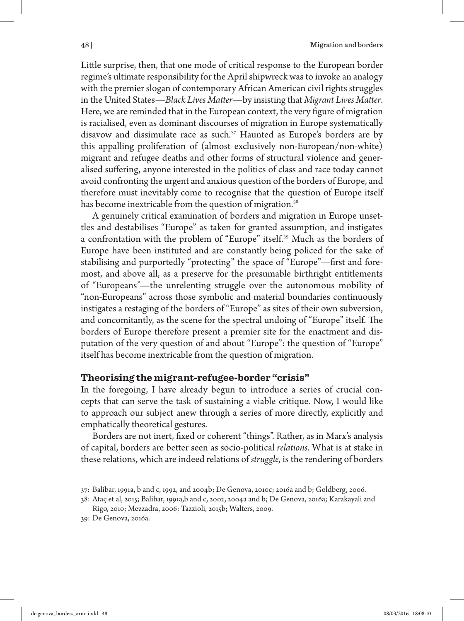Little surprise, then, that one mode of critical response to the European border regime's ultimate responsibility for the April shipwreck was to invoke an analogy with the premier slogan of contemporary African American civil rights struggles in the United States—*Black Lives Matter*—by insisting that *Migrant Lives Matter*. Here, we are reminded that in the European context, the very figure of migration is racialised, even as dominant discourses of migration in Europe systematically disavow and dissimulate race as such.<sup>37</sup> Haunted as Europe's borders are by this appalling proliferation of (almost exclusively non-European/non-white) migrant and refugee deaths and other forms of structural violence and generalised suffering, anyone interested in the politics of class and race today cannot avoid confronting the urgent and anxious question of the borders of Europe, and therefore must inevitably come to recognise that the question of Europe itself has become inextricable from the question of migration.<sup>38</sup>

A genuinely critical examination of borders and migration in Europe unsettles and destabilises "Europe" as taken for granted assumption, and instigates a confrontation with the problem of "Europe" itself.<sup>39</sup> Much as the borders of Europe have been instituted and are constantly being policed for the sake of stabilising and purportedly "protecting" the space of "Europe"—first and foremost, and above all, as a preserve for the presumable birthright entitlements of "Europeans"—the unrelenting struggle over the autonomous mobility of "non-Europeans" across those symbolic and material boundaries continuously instigates a restaging of the borders of "Europe" as sites of their own subversion, and concomitantly, as the scene for the spectral undoing of "Europe" itself. The borders of Europe therefore present a premier site for the enactment and disputation of the very question of and about "Europe": the question of "Europe" itself has become inextricable from the question of migration.

### **Theorising the migrant-refugee-border "crisis"**

In the foregoing, I have already begun to introduce a series of crucial concepts that can serve the task of sustaining a viable critique. Now, I would like to approach our subject anew through a series of more directly, explicitly and emphatically theoretical gestures.

Borders are not inert, fixed or coherent "things". Rather, as in Marx's analysis of capital, borders are better seen as socio-political *relations*. What is at stake in these relations, which are indeed relations of *struggle*, is the rendering of borders

<sup>37:</sup> Balibar, 1991a, b and c, 1992, and 2004b; De Genova, 2010c; 2016a and b; Goldberg, 2006.

<sup>38:</sup> Ataç et al, 2015; Balibar, 1991a,b and c, 2002, 2004a and b; De Genova, 2016a; Karakayali and Rigo, 2010; Mezzadra, 2006; Tazzioli, 2015b; Walters, 2009.

<sup>39:</sup> De Genova, 2016a.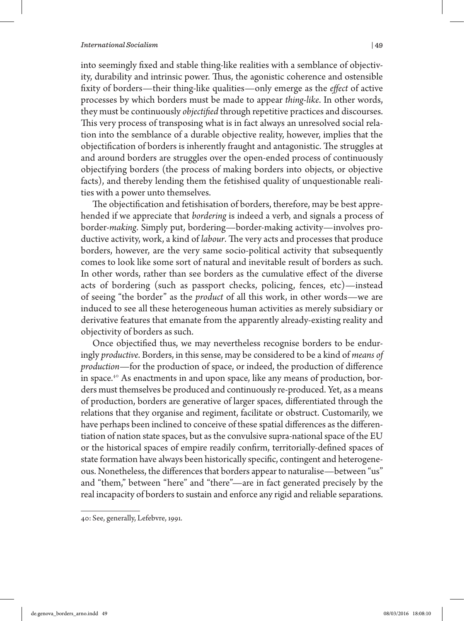#### *International Socialism*  $|49\rangle$

into seemingly fixed and stable thing-like realities with a semblance of objectivity, durability and intrinsic power. Thus, the agonistic coherence and ostensible fixity of borders—their thing-like qualities—only emerge as the *effect* of active processes by which borders must be made to appear *thing-like*. In other words, they must be continuously *objectified* through repetitive practices and discourses. This very process of transposing what is in fact always an unresolved social relation into the semblance of a durable objective reality, however, implies that the objectification of borders is inherently fraught and antagonistic. The struggles at and around borders are struggles over the open-ended process of continuously objectifying borders (the process of making borders into objects, or objective facts), and thereby lending them the fetishised quality of unquestionable realities with a power unto themselves.

The objectification and fetishisation of borders, therefore, may be best apprehended if we appreciate that *bordering* is indeed a verb, and signals a process of border-*making*. Simply put, bordering—border-making activity—involves productive activity, work, a kind of *labour*. The very acts and processes that produce borders, however, are the very same socio-political activity that subsequently comes to look like some sort of natural and inevitable result of borders as such. In other words, rather than see borders as the cumulative effect of the diverse acts of bordering (such as passport checks, policing, fences, etc)—instead of seeing "the border" as the *product* of all this work, in other words—we are induced to see all these heterogeneous human activities as merely subsidiary or derivative features that emanate from the apparently already-existing reality and objectivity of borders as such.

Once objectified thus, we may nevertheless recognise borders to be enduringly *productive*. Borders, in this sense, may be considered to be a kind of *means of production*—for the production of space, or indeed, the production of difference in space.<sup>40</sup> As enactments in and upon space, like any means of production, borders must themselves be produced and continuously re-produced. Yet, as a means of production, borders are generative of larger spaces, differentiated through the relations that they organise and regiment, facilitate or obstruct. Customarily, we have perhaps been inclined to conceive of these spatial differences as the differentiation of nation state spaces, but as the convulsive supra-national space of the EU or the historical spaces of empire readily confirm, territorially-defined spaces of state formation have always been historically specific, contingent and heterogeneous. Nonetheless, the differences that borders appear to naturalise—between "us" and "them," between "here" and "there"—are in fact generated precisely by the real incapacity of borders to sustain and enforce any rigid and reliable separations.

<sup>40:</sup> See, generally, Lefebvre, 1991.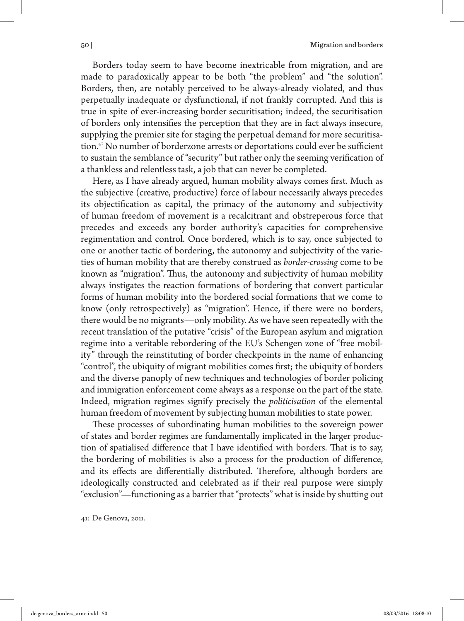Borders today seem to have become inextricable from migration, and are made to paradoxically appear to be both "the problem" and "the solution". Borders, then, are notably perceived to be always-already violated, and thus perpetually inadequate or dysfunctional, if not frankly corrupted. And this is true in spite of ever-increasing border securitisation; indeed, the securitisation of borders only intensifies the perception that they are in fact always insecure, supplying the premier site for staging the perpetual demand for more securitisation.<sup>41</sup> No number of borderzone arrests or deportations could ever be sufficient to sustain the semblance of "security" but rather only the seeming verification of a thankless and relentless task, a job that can never be completed.

Here, as I have already argued, human mobility always comes first. Much as the subjective (creative, productive) force of labour necessarily always precedes its objectification as capital, the primacy of the autonomy and subjectivity of human freedom of movement is a recalcitrant and obstreperous force that precedes and exceeds any border authority's capacities for comprehensive regimentation and control. Once bordered, which is to say, once subjected to one or another tactic of bordering, the autonomy and subjectivity of the varieties of human mobility that are thereby construed as *border-crossing* come to be known as "migration". Thus, the autonomy and subjectivity of human mobility always instigates the reaction formations of bordering that convert particular forms of human mobility into the bordered social formations that we come to know (only retrospectively) as "migration". Hence, if there were no borders, there would be no migrants—only mobility. As we have seen repeatedly with the recent translation of the putative "crisis" of the European asylum and migration regime into a veritable rebordering of the EU's Schengen zone of "free mobility" through the reinstituting of border checkpoints in the name of enhancing "control", the ubiquity of migrant mobilities comes first; the ubiquity of borders and the diverse panoply of new techniques and technologies of border policing and immigration enforcement come always as a response on the part of the state. Indeed, migration regimes signify precisely the *politicisation* of the elemental human freedom of movement by subjecting human mobilities to state power.

These processes of subordinating human mobilities to the sovereign power of states and border regimes are fundamentally implicated in the larger production of spatialised difference that I have identified with borders. That is to say, the bordering of mobilities is also a process for the production of difference, and its effects are differentially distributed. Therefore, although borders are ideologically constructed and celebrated as if their real purpose were simply "exclusion"—functioning as a barrier that "protects" what is inside by shutting out

<sup>41:</sup> De Genova, 2011.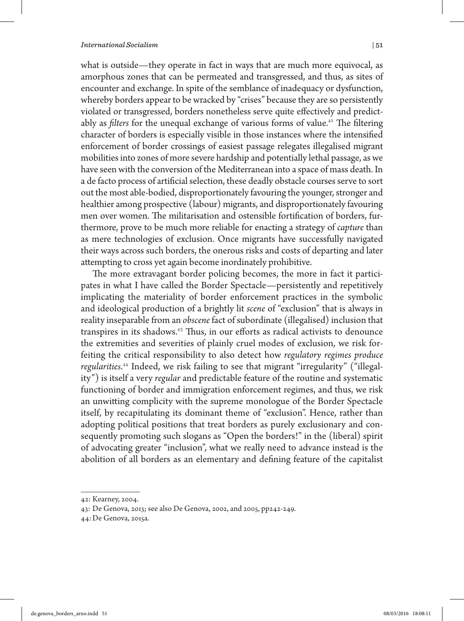what is outside—they operate in fact in ways that are much more equivocal, as amorphous zones that can be permeated and transgressed, and thus, as sites of encounter and exchange. In spite of the semblance of inadequacy or dysfunction, whereby borders appear to be wracked by "crises" because they are so persistently violated or transgressed, borders nonetheless serve quite effectively and predictably as *filters* for the unequal exchange of various forms of value.<sup>42</sup> The filtering character of borders is especially visible in those instances where the intensified enforcement of border crossings of easiest passage relegates illegalised migrant mobilities into zones of more severe hardship and potentially lethal passage, as we have seen with the conversion of the Mediterranean into a space of mass death. In a de facto process of artificial selection, these deadly obstacle courses serve to sort out the most able-bodied, disproportionately favouring the younger, stronger and healthier among prospective (labour) migrants, and disproportionately favouring men over women. The militarisation and ostensible fortification of borders, furthermore, prove to be much more reliable for enacting a strategy of *capture* than as mere technologies of exclusion. Once migrants have successfully navigated their ways across such borders, the onerous risks and costs of departing and later attempting to cross yet again become inordinately prohibitive.

The more extravagant border policing becomes, the more in fact it participates in what I have called the Border Spectacle—persistently and repetitively implicating the materiality of border enforcement practices in the symbolic and ideological production of a brightly lit *scene* of "exclusion" that is always in reality inseparable from an *obscene* fact of subordinate (illegalised) inclusion that transpires in its shadows.<sup>43</sup> Thus, in our efforts as radical activists to denounce the extremities and severities of plainly cruel modes of exclusion, we risk forfeiting the critical responsibility to also detect how *regulatory regimes produce regularities*. 44 Indeed, we risk failing to see that migrant "irregularity" ("illegality") is itself a very *regular* and predictable feature of the routine and systematic functioning of border and immigration enforcement regimes, and thus, we risk an unwitting complicity with the supreme monologue of the Border Spectacle itself, by recapitulating its dominant theme of "exclusion". Hence, rather than adopting political positions that treat borders as purely exclusionary and consequently promoting such slogans as "Open the borders!" in the (liberal) spirit of advocating greater "inclusion", what we really need to advance instead is the abolition of all borders as an elementary and defining feature of the capitalist

<sup>42:</sup> Kearney, 2004.

<sup>43:</sup> De Genova, 2013; see also De Genova, 2002, and 2005, pp242-249.

<sup>44:</sup>De Genova, 2015a.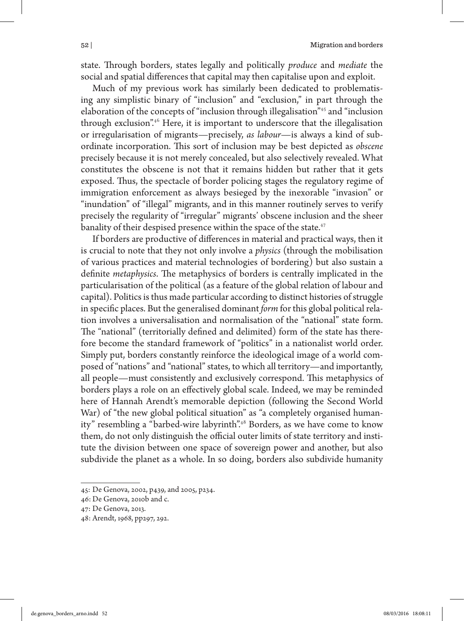state. Through borders, states legally and politically *produce* and *mediate* the social and spatial differences that capital may then capitalise upon and exploit.

Much of my previous work has similarly been dedicated to problematising any simplistic binary of "inclusion" and "exclusion," in part through the elaboration of the concepts of "inclusion through illegalisation"<sup>45</sup> and "inclusion through exclusion".<sup>46</sup> Here, it is important to underscore that the illegalisation or irregularisation of migrants—precisely, *as labour*—is always a kind of subordinate incorporation. This sort of inclusion may be best depicted as *obscene* precisely because it is not merely concealed, but also selectively revealed. What constitutes the obscene is not that it remains hidden but rather that it gets exposed. Thus, the spectacle of border policing stages the regulatory regime of immigration enforcement as always besieged by the inexorable "invasion" or "inundation" of "illegal" migrants, and in this manner routinely serves to verify precisely the regularity of "irregular" migrants' obscene inclusion and the sheer banality of their despised presence within the space of the state.<sup>47</sup>

If borders are productive of differences in material and practical ways, then it is crucial to note that they not only involve a *physics* (through the mobilisation of various practices and material technologies of bordering) but also sustain a definite *metaphysics*. The metaphysics of borders is centrally implicated in the particularisation of the political (as a feature of the global relation of labour and capital). Politics is thus made particular according to distinct histories of struggle in specific places. But the generalised dominant *form* for this global political relation involves a universalisation and normalisation of the "national" state form. The "national" (territorially defined and delimited) form of the state has therefore become the standard framework of "politics" in a nationalist world order. Simply put, borders constantly reinforce the ideological image of a world composed of "nations" and "national" states, to which all territory—and importantly, all people—must consistently and exclusively correspond. This metaphysics of borders plays a role on an effectively global scale. Indeed, we may be reminded here of Hannah Arendt's memorable depiction (following the Second World War) of "the new global political situation" as "a completely organised humanity" resembling a "barbed-wire labyrinth".<sup>48</sup> Borders, as we have come to know them, do not only distinguish the official outer limits of state territory and institute the division between one space of sovereign power and another, but also subdivide the planet as a whole. In so doing, borders also subdivide humanity

<sup>45:</sup> De Genova, 2002, p439, and 2005, p234.

<sup>46:</sup> De Genova, 2010b and c.

<sup>47:</sup> De Genova, 2013.

<sup>48:</sup> Arendt, 1968, pp297, 292.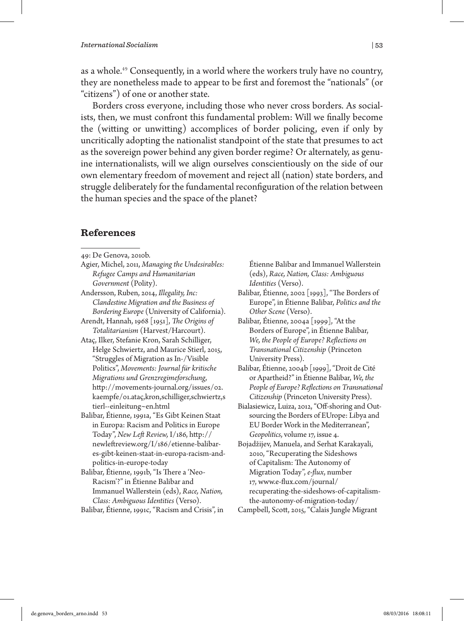as a whole.<sup>49</sup> Consequently, in a world where the workers truly have no country, they are nonetheless made to appear to be first and foremost the "nationals" (or "citizens") of one or another state.

Borders cross everyone, including those who never cross borders. As socialists, then, we must confront this fundamental problem: Will we finally become the (witting or unwitting) accomplices of border policing, even if only by uncritically adopting the nationalist standpoint of the state that presumes to act as the sovereign power behind any given border regime? Or alternately, as genuine internationalists, will we align ourselves conscientiously on the side of our own elementary freedom of movement and reject all (nation) state borders, and struggle deliberately for the fundamental reconfiguration of the relation between the human species and the space of the planet?

## **References**

|  | 49: De Genova, 2010b. |  |
|--|-----------------------|--|
|--|-----------------------|--|

- Agier, Michel, 2011, *Managing the Undesirables: Refugee Camps and Humanitarian Government* (Polity).
- Andersson, Ruben, 2014, *Illegality, Inc: Clandestine Migration and the Business of Bordering Europe* (University of California).

Arendt, Hannah, 1968 [1951], *The Origins of Totalitarianism* (Harvest/Harcourt).

- Ataç, Ilker, Stefanie Kron, Sarah Schilliger, Helge Schwiertz, and Maurice Stierl, 2015, "Struggles of Migration as In-/Visible Politics", *Movements: Journal für kritische Migrations und Grenzregimeforschung*, http://movements-journal.org/issues/02. kaempfe/01.ataç,kron,schilliger,schwiertz,s tierl--einleitung~en.html
- Balibar, Étienne, 1991a, "Es Gibt Keinen Staat in Europa: Racism and Politics in Europe Today", *New Left Review,* I/186, http:// newleftreview.org/I/186/etienne-balibares-gibt-keinen-staat-in-europa-racism-andpolitics-in-europe-today
- Balibar, Étienne, 1991b, "Is There a 'Neo-Racism'?" in Étienne Balibar and Immanuel Wallerstein (eds), *Race, Nation, Class: Ambiguous Identities* (Verso).

Balibar, Étienne, 1991c, "Racism and Crisis", in

Étienne Balibar and Immanuel Wallerstein (eds), *Race, Nation, Class: Ambiguous Identities* (Verso).

- Balibar, Étienne, 2002 [1993], "The Borders of Europe", in Étienne Balibar, *Politics and the Other Scene* (Verso).
- Balibar, Étienne, 2004a [1999], "At the Borders of Europe", in Étienne Balibar, *We, the People of Europe? Reflections on Transnational Citizenship* (Princeton University Press).
- Balibar, Étienne, 2004b [1999], "Droit de Cité or Apartheid?" in Étienne Balibar, *We, the People of Europe? Reflections on Transnational Citizenship* (Princeton University Press).
- Bialasiewicz, Luiza, 2012, "Off-shoring and Outsourcing the Borders of EUrope: Libya and EU Border Work in the Mediterranean", *Geopolitics*, volume 17, issue 4.
- Bojadžijev, Manuela, and Serhat Karakayali, 2010, "Recuperating the Sideshows of Capitalism: The Autonomy of Migration Today", *e-flux*, number 17, www.e-flux.com/journal/ recuperating-the-sideshows-of-capitalismthe-autonomy-of-migration-today/
- Campbell, Scott, 2015, "Calais Jungle Migrant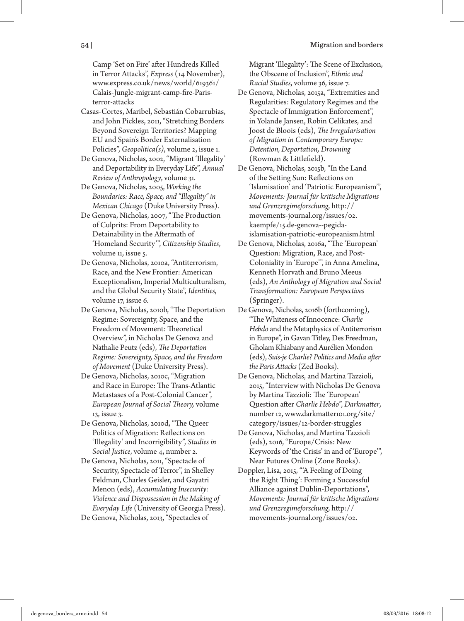Camp 'Set on Fire' after Hundreds Killed in Terror Attacks", *Express* (14 November), www.express.co.uk/news/world/619361/ Calais-Jungle-migrant-camp-fire-Paristerror-attacks

- Casas-Cortes, Maribel, Sebastián Cobarrubias, and John Pickles, 2011, "Stretching Borders Beyond Sovereign Territories? Mapping EU and Spain's Border Externalisation Policies", *Geopolitica(s)*, volume 2, issue 1.
- De Genova, Nicholas, 2002, "Migrant 'Illegality' and Deportability in Everyday Life", *Annual Review of Anthropology*, volume 31.
- De Genova, Nicholas, 2005, *Working the Boundaries: Race, Space, and "Illegality" in Mexican Chicago* (Duke University Press).
- De Genova, Nicholas, 2007, "The Production of Culprits: From Deportability to Detainability in the Aftermath of 'Homeland Security'", *Citizenship Studies*, volume 11, issue 5.
- De Genova, Nicholas, 2010a, "Antiterrorism, Race, and the New Frontier: American Exceptionalism, Imperial Multiculturalism, and the Global Security State", *Identities*, volume 17, issue 6.
- De Genova, Nicholas, 2010b, "The Deportation Regime: Sovereignty, Space, and the Freedom of Movement: Theoretical Overview", in Nicholas De Genova and Nathalie Peutz (eds), *The Deportation Regime: Sovereignty, Space, and the Freedom of Movement* (Duke University Press).
- De Genova, Nicholas, 2010c, "Migration and Race in Europe: The Trans-Atlantic Metastases of a Post-Colonial Cancer", *European Journal of Social Theory,* volume 13, issue 3.
- De Genova, Nicholas, 2010d, "The Queer Politics of Migration: Reflections on 'Illegality' and Incorrigibility", *Studies in Social Justice*, volume 4, number 2.
- De Genova, Nicholas, 2011, "Spectacle of Security, Spectacle of Terror", in Shelley Feldman, Charles Geisler, and Gayatri Menon (eds), *Accumulating Insecurity: Violence and Dispossession in the Making of Everyday Life* (University of Georgia Press). De Genova, Nicholas, 2013, "Spectacles of

Migrant 'Illegality': The Scene of Exclusion, the Obscene of Inclusion", *Ethnic and Racial Studies*, volume 36, issue 7.

- De Genova, Nicholas, 2015a, "Extremities and Regularities: Regulatory Regimes and the Spectacle of Immigration Enforcement", in Yolande Jansen, Robin Celikates, and Joost de Bloois (eds), *The Irregularisation of Migration in Contemporary Europe: Detention, Deportation, Drowning* (Rowman & Littlefield).
- De Genova, Nicholas, 2015b, "In the Land of the Setting Sun: Reflections on 'Islamisation' and 'Patriotic Europeanism'", *Movements: Journal für kritische Migrations und Grenzregimeforschung*, http:// movements-journal.org/issues/02. kaempfe/15.de-genova--pegidaislamisation-patriotic-europeanism.html
- De Genova, Nicholas, 2016a, "The 'European' Question: Migration, Race, and Post-Coloniality in 'Europe'", in Anna Amelina, Kenneth Horvath and Bruno Meeus (eds), *An Anthology of Migration and Social Transformation: European Perspectives* (Springer).
- De Genova, Nicholas, 2016b (forthcoming), "The Whiteness of Innocence: *Charlie Hebdo* and the Metaphysics of Antiterrorism in Europe", in Gavan Titley, Des Freedman, Gholam Khiabany and Aurélien Mondon (eds), *Suis-je Charlie? Politics and Media after the Paris Attacks* (Zed Books).
- De Genova, Nicholas, and Martina Tazzioli, 2015, "Interview with Nicholas De Genova by Martina Tazzioli: The 'European' Question after *Charlie Hebdo*", *Darkmatter*, number 12, www.darkmatter101.org/site/ category/issues/12-border-struggles
- De Genova, Nicholas, and Martina Tazzioli (eds), 2016, "Europe/Crisis: New Keywords of 'the Crisis' in and of 'Europe'", Near Futures Online (Zone Books).
- Doppler, Lisa, 2015, "'A Feeling of Doing the Right Thing': Forming a Successful Alliance against Dublin-Deportations", *Movements: Journal für kritische Migrations und Grenzregimeforschung*, http:// movements-journal.org/issues/02.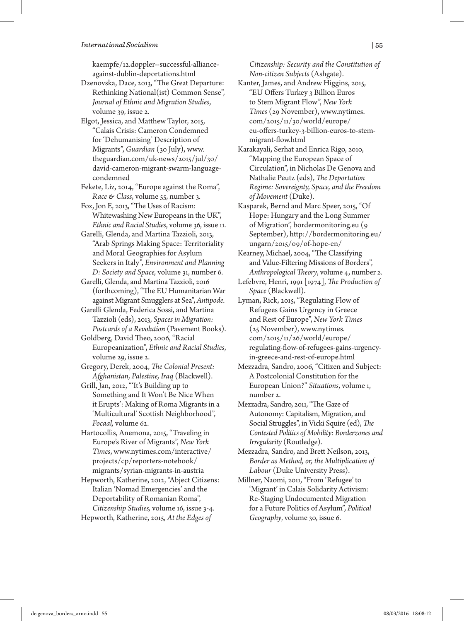kaempfe/12.doppler--successful-allianceagainst-dublin-deportations.html

Dzenovska, Dace, 2013, "The Great Departure: Rethinking National(ist) Common Sense", *Journal of Ethnic and Migration Studies*, volume 39, issue 2.

Elgot, Jessica, and Matthew Taylor, 2015, "Calais Crisis: Cameron Condemned for 'Dehumanising' Description of Migrants", *Guardian* (30 July), www. theguardian.com/uk-news/2015/jul/30/ david-cameron-migrant-swarm-languagecondemned

Fekete, Liz, 2014, "Europe against the Roma", *Race & Class*, volume 55, number 3.

Fox, Jon E, 2013, "The Uses of Racism: Whitewashing New Europeans in the UK", *Ethnic and Racial Studies*, volume 36, issue 11.

Garelli, Glenda, and Martina Tazzioli, 2013, "Arab Springs Making Space: Territoriality and Moral Geographies for Asylum Seekers in Italy", *Environment and Planning D: Society and Space,* volume 31, number 6.

Garelli, Glenda, and Martina Tazzioli, 2016 (forthcoming), "The EU Humanitarian War against Migrant Smugglers at Sea", *Antipode*.

Garelli Glenda, Federica Sossi, and Martina Tazzioli (eds), 2013, *Spaces in Migration: Postcards of a Revolution* (Pavement Books).

Goldberg, David Theo, 2006, "Racial Europeanization", *Ethnic and Racial Studies*, volume 29, issue 2.

Gregory, Derek, 2004, *The Colonial Present: Afghanistan, Palestine, Iraq* (Blackwell).

Grill, Jan, 2012, "'It's Building up to Something and It Won't Be Nice When it Erupts': Making of Roma Migrants in a 'Multicultural' Scottish Neighborhood", *Focaal,* volume 62.

Hartocollis, Anemona, 2015, "Traveling in Europe's River of Migrants", *New York Times*, www.nytimes.com/interactive/ projects/cp/reporters-notebook/ migrants/syrian-migrants-in-austria

Hepworth, Katherine, 2012, "Abject Citizens: Italian 'Nomad Emergencies' and the Deportability of Romanian Roma", *Citizenship Studies,* volume 16, issue 3-4. Hepworth, Katherine, 2015, *At the Edges of* 

*Citizenship: Security and the Constitution of Non-citizen Subjects* (Ashgate).

Kanter, James, and Andrew Higgins, 2015, "EU Offers Turkey 3 Billion Euros to Stem Migrant Flow", *New York Times* (29 November), www.nytimes. com/2015/11/30/world/europe/ eu-offers-turkey-3-billion-euros-to-stemmigrant-flow.html

Karakayali, Serhat and Enrica Rigo, 2010, "Mapping the European Space of Circulation", in Nicholas De Genova and Nathalie Peutz (eds), *The Deportation Regime: Sovereignty, Space, and the Freedom of Movement* (Duke).

Kasparek, Bernd and Marc Speer, 2015, "Of Hope: Hungary and the Long Summer of Migration", bordermonitoring.eu (9 September), http://bordermonitoring.eu/ ungarn/2015/09/of-hope-en/

Kearney, Michael, 2004, "The Classifying and Value-Filtering Missions of Borders", *Anthropological Theory*, volume 4, number 2.

Lefebvre, Henri, 1991 [1974], *The Production of Space* (Blackwell).

Lyman, Rick, 2015, "Regulating Flow of Refugees Gains Urgency in Greece and Rest of Europe", *New York Times* (25 November), www.nytimes. com/2015/11/26/world/europe/ regulating-flow-of-refugees-gains-urgencyin-greece-and-rest-of-europe.html

Mezzadra, Sandro, 2006, "Citizen and Subject: A Postcolonial Constitution for the European Union?" *Situations*, volume 1, number 2.

Mezzadra, Sandro, 2011, "The Gaze of Autonomy: Capitalism, Migration, and Social Struggles", in Vicki Squire (ed), *The Contested Politics of Mobility: Borderzones and Irregularity* (Routledge).

Mezzadra, Sandro, and Brett Neilson, 2013, *Border as Method, or, the Multiplication of Labour* (Duke University Press).

Millner, Naomi, 2011, "From 'Refugee' to 'Migrant' in Calais Solidarity Activism: Re-Staging Undocumented Migration for a Future Politics of Asylum", *Political Geography*, volume 30, issue 6.